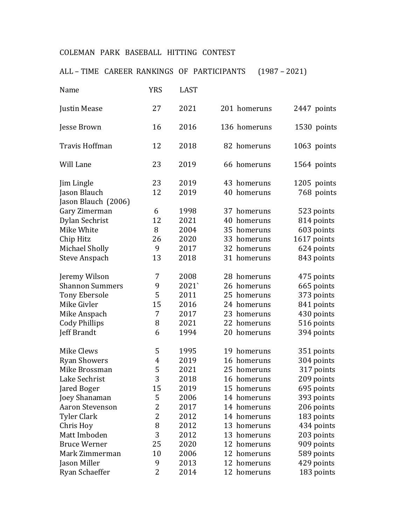## COLEMAN PARK BASEBALL HITTING CONTEST

ALL – TIME CAREER RANKINGS OF PARTICIPANTS (1987 – 2021)

| Name                                | <b>YRS</b> | <b>LAST</b> |              |             |
|-------------------------------------|------------|-------------|--------------|-------------|
| Justin Mease                        | 27         | 2021        | 201 homeruns | 2447 points |
| Jesse Brown                         | 16         | 2016        | 136 homeruns | 1530 points |
| Travis Hoffman                      | 12         | 2018        | 82 homeruns  | 1063 points |
| Will Lane                           | 23         | 2019        | 66 homeruns  | 1564 points |
| Jim Lingle                          | 23         | 2019        | 43 homeruns  | 1205 points |
| Jason Blauch<br>Jason Blauch (2006) | 12         | 2019        | 40 homeruns  | 768 points  |
| Gary Zimerman                       | 6          | 1998        | 37 homeruns  | 523 points  |
| Dylan Sechrist                      | 12         | 2021        | 40 homeruns  | 814 points  |
| Mike White                          | 8          | 2004        | 35 homeruns  | 603 points  |
| Chip Hitz                           | 26         | 2020        | 33 homeruns  | 1617 points |
| Michael Sholly                      | 9          | 2017        | 32 homeruns  | 624 points  |
| <b>Steve Anspach</b>                | 13         | 2018        | 31 homeruns  | 843 points  |
| Jeremy Wilson                       | 7          | 2008        | 28 homeruns  | 475 points  |
| <b>Shannon Summers</b>              | 9          | 2021`       | 26 homeruns  | 665 points  |
| <b>Tony Ebersole</b>                | 5          | 2011        | 25 homeruns  | 373 points  |
| Mike Givler                         | 15         | 2016        | 24 homeruns  | 841 points  |
| Mike Anspach                        | 7          | 2017        | 23 homeruns  | 430 points  |
| <b>Cody Phillips</b>                | 8          | 2021        | 22 homeruns  | 516 points  |
| Jeff Brandt                         | 6          | 1994        | 20 homeruns  | 394 points  |
| <b>Mike Clews</b>                   | 5          | 1995        | 19 homeruns  | 351 points  |
| <b>Ryan Showers</b>                 | 4          | 2019        | 16 homeruns  | 304 points  |
| Mike Brossman                       | 5          | 2021        | 25 homeruns  | 317 points  |
| Lake Sechrist                       | 3          | 2018        | 16 homeruns  | 209 points  |
| Jared Boger                         | 15         | 2019        | 15 homeruns  | 695 points  |
| Joey Shanaman                       | 5          | 2006        | 14 homeruns  | 393 points  |
| Aaron Stevenson                     | 2          | 2017        | 14 homeruns  | 206 points  |
| <b>Tyler Clark</b>                  | 2          | 2012        | 14 homeruns  | 183 points  |
| Chris Hoy                           | 8          | 2012        | 13 homeruns  | 434 points  |
| Matt Imboden                        | 3          | 2012        | 13 homeruns  | 203 points  |
| <b>Bruce Werner</b>                 | 25         | 2020        | 12 homeruns  | 909 points  |
| Mark Zimmerman                      | 10         | 2006        | 12 homeruns  | 589 points  |
| Jason Miller                        | 9          | 2013        | 12 homeruns  | 429 points  |
| Ryan Schaeffer                      | 2          | 2014        | 12 homeruns  | 183 points  |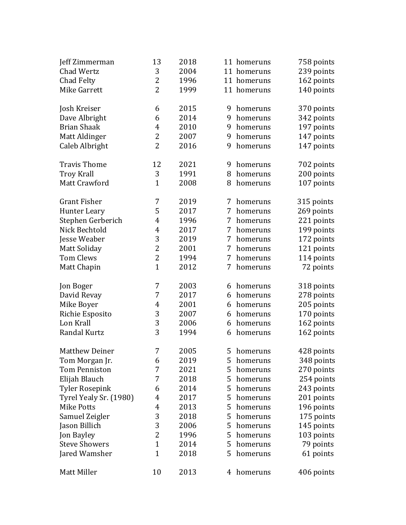| Jeff Zimmerman         | 13             | 2018 |   | 11 homeruns | 758 points |
|------------------------|----------------|------|---|-------------|------------|
| Chad Wertz             | 3              | 2004 |   | 11 homeruns | 239 points |
| Chad Felty             | 2              | 1996 |   | 11 homeruns | 162 points |
| Mike Garrett           | $\overline{2}$ | 1999 |   | 11 homeruns | 140 points |
|                        |                |      |   |             |            |
| Josh Kreiser           | 6              | 2015 | 9 | homeruns    | 370 points |
| Dave Albright          | 6              | 2014 | 9 | homeruns    | 342 points |
| <b>Brian Shaak</b>     | 4              | 2010 | 9 | homeruns    | 197 points |
| Matt Aldinger          | 2              | 2007 | 9 | homeruns    | 147 points |
| Caleb Albright         | 2              | 2016 | 9 | homeruns    | 147 points |
|                        |                |      |   |             |            |
| <b>Travis Thome</b>    | 12             | 2021 | 9 | homeruns    | 702 points |
| <b>Troy Krall</b>      | 3              | 1991 | 8 | homeruns    | 200 points |
| Matt Crawford          | $\mathbf{1}$   | 2008 | 8 | homeruns    | 107 points |
|                        |                |      |   |             |            |
| <b>Grant Fisher</b>    | 7              | 2019 | 7 | homeruns    | 315 points |
| <b>Hunter Leary</b>    | 5              | 2017 | 7 | homeruns    | 269 points |
| Stephen Gerberich      | 4              | 1996 | 7 | homeruns    | 221 points |
| Nick Bechtold          | 4              | 2017 | 7 | homeruns    | 199 points |
| Jesse Weaber           | 3              | 2019 | 7 | homeruns    | 172 points |
| <b>Matt Soliday</b>    | 2              | 2001 | 7 | homeruns    | 121 points |
| <b>Tom Clews</b>       | 2              | 1994 | 7 | homeruns    | 114 points |
| Matt Chapin            | $\mathbf{1}$   | 2012 | 7 | homeruns    | 72 points  |
|                        |                |      |   |             |            |
| Jon Boger              | 7              | 2003 | 6 | homeruns    | 318 points |
| David Revay            | 7              | 2017 | 6 | homeruns    | 278 points |
| Mike Boyer             | 4              | 2001 | 6 | homeruns    | 205 points |
| Richie Esposito        | 3              | 2007 | 6 | homeruns    | 170 points |
| Lon Krall              | 3              | 2006 | 6 | homeruns    | 162 points |
| Randal Kurtz           | 3              | 1994 | 6 | homeruns    | 162 points |
|                        |                |      |   |             |            |
| <b>Matthew Deiner</b>  | 7              | 2005 | 5 | homeruns    | 428 points |
| Tom Morgan Jr.         | 6              | 2019 | 5 | homeruns    | 348 points |
| <b>Tom Penniston</b>   | 7              | 2021 | 5 | homeruns    | 270 points |
| Elijah Blauch          | 7              | 2018 | 5 | homeruns    | 254 points |
| <b>Tyler Rosepink</b>  | 6              | 2014 | 5 | homeruns    | 243 points |
| Tyrel Yealy Sr. (1980) | 4              | 2017 | 5 | homeruns    | 201 points |
| <b>Mike Potts</b>      | 4              | 2013 | 5 | homeruns    | 196 points |
| Samuel Zeigler         | 3              | 2018 | 5 | homeruns    | 175 points |
| Jason Billich          | 3              | 2006 | 5 | homeruns    | 145 points |
| Jon Bayley             | 2              | 1996 | 5 | homeruns    | 103 points |
| <b>Steve Showers</b>   | $\mathbf{1}$   | 2014 | 5 | homeruns    | 79 points  |
| Jared Wamsher          | $\mathbf{1}$   | 2018 | 5 | homeruns    | 61 points  |
| Matt Miller            | 10             | 2013 | 4 | homeruns    | 406 points |
|                        |                |      |   |             |            |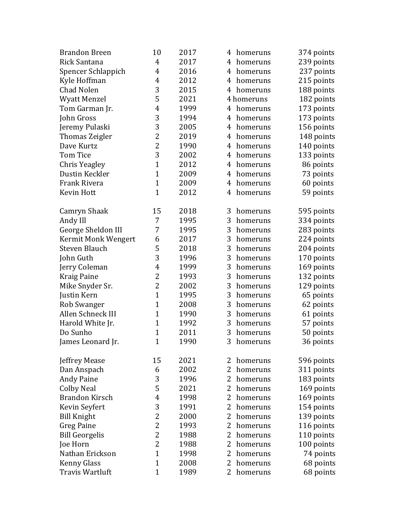| <b>Brandon Breen</b>   | 10             | 2017 | 4<br>homeruns              | 374 points |
|------------------------|----------------|------|----------------------------|------------|
| Rick Santana           | 4              | 2017 | 4<br>homeruns              | 239 points |
| Spencer Schlappich     | 4              | 2016 | 4<br>homeruns              | 237 points |
| Kyle Hoffman           | $\overline{4}$ | 2012 | 4<br>homeruns              | 215 points |
| <b>Chad Nolen</b>      | 3              | 2015 | 4<br>homeruns              | 188 points |
| <b>Wyatt Menzel</b>    | 5              | 2021 | 4 homeruns                 | 182 points |
| Tom Garman Jr.         | $\overline{4}$ | 1999 | 4<br>homeruns              | 173 points |
| John Gross             | 3              | 1994 | 4<br>homeruns              | 173 points |
| Jeremy Pulaski         | 3              | 2005 | 4<br>homeruns              | 156 points |
| Thomas Zeigler         | $\overline{2}$ | 2019 | 4<br>homeruns              | 148 points |
| Dave Kurtz             | 2              | 1990 | 4<br>homeruns              | 140 points |
| <b>Tom Tice</b>        | 3              | 2002 | 4<br>homeruns              | 133 points |
| Chris Yeagley          | $\mathbf{1}$   | 2012 | 4<br>homeruns              | 86 points  |
| Dustin Keckler         | $\mathbf{1}$   | 2009 | 4<br>homeruns              | 73 points  |
| Frank Rivera           | $\mathbf{1}$   | 2009 | 4<br>homeruns              | 60 points  |
| <b>Kevin Hott</b>      | $\mathbf{1}$   | 2012 | 4<br>homeruns              | 59 points  |
| Camryn Shaak           | 15             | 2018 | 3<br>homeruns              | 595 points |
| Andy Ill               | 7              | 1995 | 3<br>homeruns              | 334 points |
| George Sheldon III     | 7              | 1995 | 3<br>homeruns              | 283 points |
| Kermit Monk Wengert    | 6              | 2017 | 3<br>homeruns              | 224 points |
| <b>Steven Blauch</b>   | 5              | 2018 | 3<br>homeruns              | 204 points |
| John Guth              | 3              | 1996 | 3<br>homeruns              | 170 points |
| Jerry Coleman          | 4              | 1999 | 3<br>homeruns              | 169 points |
| <b>Kraig Paine</b>     | 2              | 1993 | 3<br>homeruns              | 132 points |
| Mike Snyder Sr.        | $\overline{2}$ | 2002 | 3<br>homeruns              | 129 points |
| Justin Kern            | $\mathbf{1}$   | 1995 | 3<br>homeruns              | 65 points  |
| Rob Swanger            | $\mathbf{1}$   | 2008 | 3<br>homeruns              | 62 points  |
| Allen Schneck III      | $\mathbf{1}$   | 1990 | 3<br>homeruns              | 61 points  |
| Harold White Jr.       | $\mathbf{1}$   | 1992 | 3<br>homeruns              | 57 points  |
| Do Sunho               | $\mathbf{1}$   | 2011 | 3<br>homeruns              | 50 points  |
| James Leonard Jr.      | $\mathbf{1}$   | 1990 | 3<br>homeruns              | 36 points  |
| Jeffrey Mease          | 15             | 2021 | homeruns<br>2              | 596 points |
| Dan Anspach            | 6              | 2002 | 2<br>homeruns              | 311 points |
| <b>Andy Paine</b>      | 3              | 1996 | 2<br>homeruns              | 183 points |
| Colby Neal             | 5              | 2021 | 2<br>homeruns              | 169 points |
| <b>Brandon Kirsch</b>  | 4              | 1998 | $\overline{2}$<br>homeruns | 169 points |
| Kevin Seyfert          | 3              | 1991 | 2<br>homeruns              | 154 points |
| <b>Bill Knight</b>     | 2              | 2000 | 2<br>homeruns              | 139 points |
| Greg Paine             | 2              | 1993 | 2<br>homeruns              | 116 points |
| <b>Bill Georgelis</b>  | 2              | 1988 | 2<br>homeruns              | 110 points |
| Joe Horn               | 2              | 1988 | 2<br>homeruns              | 100 points |
| Nathan Erickson        | $\mathbf{1}$   | 1998 | 2<br>homeruns              | 74 points  |
| <b>Kenny Glass</b>     | $\mathbf{1}$   | 2008 | 2<br>homeruns              | 68 points  |
| <b>Travis Wartluft</b> | $\mathbf{1}$   | 1989 | 2<br>homeruns              | 68 points  |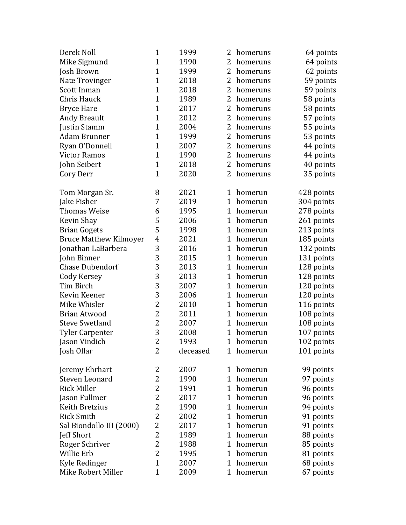| Derek Noll                    | $\mathbf{1}$   | 1999     | 2              | homeruns | 64 points  |
|-------------------------------|----------------|----------|----------------|----------|------------|
| Mike Sigmund                  | $\mathbf{1}$   | 1990     | 2              | homeruns | 64 points  |
| Josh Brown                    | $\mathbf{1}$   | 1999     | $\overline{2}$ | homeruns | 62 points  |
| Nate Trovinger                | $\mathbf{1}$   | 2018     | 2              | homeruns | 59 points  |
| Scott Inman                   | $\mathbf{1}$   | 2018     | 2              | homeruns | 59 points  |
| Chris Hauck                   | $\mathbf{1}$   | 1989     | $\overline{2}$ | homeruns | 58 points  |
| <b>Bryce Hare</b>             | $\mathbf{1}$   | 2017     | 2              | homeruns | 58 points  |
| <b>Andy Breault</b>           | $\mathbf{1}$   | 2012     | 2              | homeruns | 57 points  |
| Justin Stamm                  | $\mathbf{1}$   | 2004     | $\overline{2}$ | homeruns | 55 points  |
| <b>Adam Brunner</b>           | $\mathbf{1}$   | 1999     | 2              | homeruns | 53 points  |
| Ryan O'Donnell                | $\mathbf{1}$   | 2007     | 2              | homeruns | 44 points  |
| <b>Victor Ramos</b>           | $\mathbf{1}$   | 1990     | $\overline{2}$ | homeruns | 44 points  |
| John Seibert                  | $\mathbf{1}$   | 2018     | 2              | homeruns | 40 points  |
| Cory Derr                     | $\mathbf{1}$   | 2020     | 2              | homeruns | 35 points  |
| Tom Morgan Sr.                | 8              | 2021     | 1              | homerun  | 428 points |
| Jake Fisher                   | 7              | 2019     | $\mathbf 1$    | homerun  | 304 points |
| <b>Thomas Weise</b>           | 6              | 1995     | 1              | homerun  | 278 points |
| Kevin Shay                    | 5              | 2006     | $\mathbf 1$    | homerun  | 261 points |
| <b>Brian Gogets</b>           | 5              | 1998     | $\mathbf{1}$   | homerun  | 213 points |
| <b>Bruce Matthew Kilmoyer</b> | 4              | 2021     | 1              | homerun  | 185 points |
| Jonathan LaBarbera            | 3              | 2016     | 1              | homerun  | 132 points |
| John Binner                   | 3              | 2015     | $\mathbf{1}$   | homerun  | 131 points |
| <b>Chase Dubendorf</b>        | 3              | 2013     | 1              | homerun  | 128 points |
| Cody Kersey                   | 3              | 2013     | 1              | homerun  | 128 points |
| Tim Birch                     | 3              | 2007     | $\mathbf{1}$   | homerun  | 120 points |
| Kevin Keener                  | 3              | 2006     | 1              | homerun  | 120 points |
| Mike Whisler                  | $\overline{c}$ | 2010     | 1              | homerun  | 116 points |
| <b>Brian Atwood</b>           | $\overline{2}$ | 2011     | $\mathbf{1}$   | homerun  | 108 points |
| <b>Steve Swetland</b>         | $\overline{2}$ | 2007     | 1              | homerun  | 108 points |
| <b>Tyler Carpenter</b>        | 3              | 2008     | 1              | homerun  | 107 points |
| Jason Vindich                 | $\overline{2}$ | 1993     | $\overline{1}$ | homerun  | 102 points |
| Josh Ollar                    | 2              | deceased | 1              | homerun  | 101 points |
| Jeremy Ehrhart                | 2              | 2007     | 1              | homerun  | 99 points  |
| Steven Leonard                | 2              | 1990     | 1              | homerun  | 97 points  |
| <b>Rick Miller</b>            | $\overline{c}$ | 1991     | $\mathbf 1$    | homerun  | 96 points  |
| Jason Fullmer                 | $\overline{c}$ | 2017     | 1              | homerun  | 96 points  |
| Keith Bretzius                | 2              | 1990     | $\mathbf 1$    | homerun  | 94 points  |
| <b>Rick Smith</b>             | 2              | 2002     | 1              | homerun  | 91 points  |
| Sal Biondollo III (2000)      | 2              | 2017     | 1              | homerun  | 91 points  |
| <b>Jeff Short</b>             | $\overline{2}$ | 1989     | 1              | homerun  | 88 points  |
| Roger Schriver                | 2              | 1988     | $\mathbf 1$    | homerun  | 85 points  |
| Willie Erb                    | 2              | 1995     | 1              | homerun  | 81 points  |
| Kyle Redinger                 | $\mathbf{1}$   | 2007     | 1              | homerun  | 68 points  |
| Mike Robert Miller            | $\mathbf{1}$   | 2009     | 1              | homerun  | 67 points  |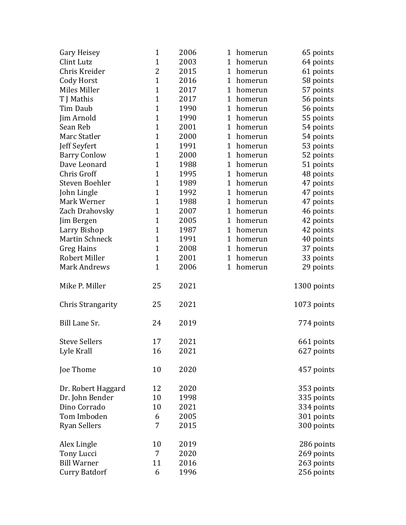| Gary Heisey              | $\mathbf{1}$   | 2006 | 1<br>homerun            | 65 points   |
|--------------------------|----------------|------|-------------------------|-------------|
| Clint Lutz               | $\mathbf{1}$   | 2003 | $\mathbf 1$<br>homerun  | 64 points   |
| Chris Kreider            | 2              | 2015 | $\mathbf{1}$<br>homerun | 61 points   |
| Cody Horst               | $\mathbf{1}$   | 2016 | $\mathbf{1}$<br>homerun | 58 points   |
| Miles Miller             | $\mathbf{1}$   | 2017 | $\mathbf 1$<br>homerun  | 57 points   |
| T J Mathis               | $\mathbf{1}$   | 2017 | $\mathbf{1}$<br>homerun | 56 points   |
| Tim Daub                 | $\mathbf 1$    | 1990 | $\mathbf 1$<br>homerun  | 56 points   |
| Jim Arnold               | $\overline{1}$ | 1990 | $\mathbf{1}$<br>homerun | 55 points   |
| Sean Reb                 | $\mathbf{1}$   | 2001 | $\mathbf{1}$<br>homerun | 54 points   |
| Marc Statler             | $\mathbf{1}$   | 2000 | 1<br>homerun            | 54 points   |
| Jeff Seyfert             | $\mathbf 1$    | 1991 | $\mathbf 1$<br>homerun  | 53 points   |
| <b>Barry Conlow</b>      | $\mathbf{1}$   | 2000 | 1<br>homerun            | 52 points   |
| Dave Leonard             | $\mathbf{1}$   | 1988 | $\mathbf 1$<br>homerun  | 51 points   |
| Chris Groff              | $\mathbf{1}$   | 1995 | 1<br>homerun            | 48 points   |
| Steven Boehler           | $\mathbf{1}$   | 1989 | 1<br>homerun            | 47 points   |
| John Lingle              | $\mathbf{1}$   | 1992 | $\mathbf{1}$<br>homerun | 47 points   |
| Mark Werner              | $\mathbf{1}$   | 1988 | $\mathbf 1$<br>homerun  | 47 points   |
| Zach Drahovsky           | $\mathbf{1}$   | 2007 | 1<br>homerun            | 46 points   |
| Jim Bergen               | $\mathbf 1$    | 2005 | $\mathbf 1$<br>homerun  | 42 points   |
| Larry Bishop             | $\mathbf{1}$   | 1987 | $\mathbf{1}$<br>homerun | 42 points   |
| <b>Martin Schneck</b>    | $\mathbf{1}$   | 1991 | 1<br>homerun            | 40 points   |
| Greg Hains               | $\mathbf{1}$   | 2008 | 1<br>homerun            | 37 points   |
| Robert Miller            | $\mathbf{1}$   | 2001 | 1<br>homerun            | 33 points   |
| <b>Mark Andrews</b>      | $\mathbf{1}$   | 2006 | $\mathbf 1$<br>homerun  | 29 points   |
| Mike P. Miller           | 25             | 2021 |                         | 1300 points |
| <b>Chris Strangarity</b> | 25             | 2021 |                         | 1073 points |
| Bill Lane Sr.            | 24             | 2019 |                         | 774 points  |
| <b>Steve Sellers</b>     | 17             | 2021 |                         | 661 points  |
| Lyle Krall               | 16             | 2021 |                         | 627 points  |
| Joe Thome                | 10             | 2020 |                         | 457 points  |
| Dr. Robert Haggard       | 12             | 2020 |                         | 353 points  |
| Dr. John Bender          | 10             | 1998 |                         | 335 points  |
| Dino Corrado             | 10             | 2021 |                         | 334 points  |
| Tom Imboden              | 6              | 2005 |                         | 301 points  |
| <b>Ryan Sellers</b>      | 7              | 2015 |                         | 300 points  |
| Alex Lingle              | 10             | 2019 |                         | 286 points  |
| Tony Lucci               | 7              | 2020 |                         | 269 points  |
| <b>Bill Warner</b>       | 11             | 2016 |                         | 263 points  |
| <b>Curry Batdorf</b>     | 6              | 1996 |                         | 256 points  |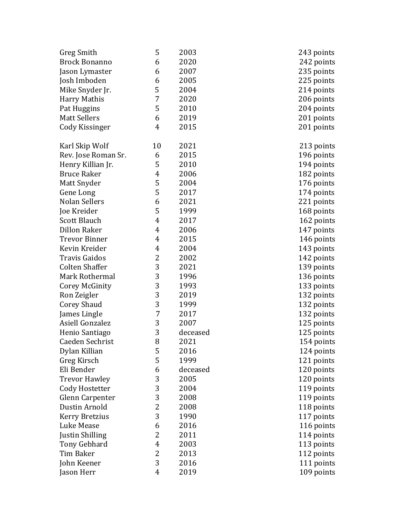| Greg Smith             | 5              | 2003     | 243 points |
|------------------------|----------------|----------|------------|
| <b>Brock Bonanno</b>   | 6              | 2020     | 242 points |
| Jason Lymaster         | 6              | 2007     | 235 points |
| Josh Imboden           | 6              | 2005     | 225 points |
| Mike Snyder Jr.        | 5              | 2004     | 214 points |
| Harry Mathis           | 7              | 2020     | 206 points |
| Pat Huggins            | 5              | 2010     | 204 points |
| <b>Matt Sellers</b>    | 6              | 2019     | 201 points |
| Cody Kissinger         | 4              | 2015     | 201 points |
|                        |                |          |            |
| Karl Skip Wolf         | 10             | 2021     | 213 points |
| Rev. Jose Roman Sr.    | 6              | 2015     | 196 points |
| Henry Killian Jr.      | 5              | 2010     | 194 points |
| <b>Bruce Raker</b>     | 4              | 2006     | 182 points |
| Matt Snyder            | 5              | 2004     | 176 points |
| Gene Long              | 5              | 2017     | 174 points |
| <b>Nolan Sellers</b>   | 6              | 2021     | 221 points |
| Joe Kreider            | 5              | 1999     | 168 points |
| <b>Scott Blauch</b>    | 4              | 2017     | 162 points |
| <b>Dillon Raker</b>    | 4              | 2006     | 147 points |
| <b>Trevor Binner</b>   | 4              | 2015     | 146 points |
| Kevin Kreider          | 4              | 2004     | 143 points |
| <b>Travis Gaidos</b>   | $\overline{c}$ | 2002     | 142 points |
| <b>Colten Shaffer</b>  | 3              | 2021     | 139 points |
| Mark Rothermal         | 3              | 1996     | 136 points |
| Corey McGinity         | 3              | 1993     | 133 points |
| Ron Zeigler            | 3              | 2019     | 132 points |
| <b>Corey Shaud</b>     | 3              | 1999     | 132 points |
| James Lingle           | 7              | 2017     | 132 points |
| Asiell Gonzalez        | 3              | 2007     | 125 points |
| Henio Santiago         | 3              | deceased | 125 points |
| Caeden Sechrist        | 8              | 2021     | 154 points |
| Dylan Killian          | 5              | 2016     | 124 points |
| Greg Kirsch            | 5              | 1999     | 121 points |
| Eli Bender             | 6              | deceased | 120 points |
| <b>Trevor Hawley</b>   | 3              | 2005     | 120 points |
| Cody Hostetter         | 3              | 2004     | 119 points |
| <b>Glenn Carpenter</b> | 3              | 2008     | 119 points |
| Dustin Arnold          | $\overline{2}$ | 2008     | 118 points |
| <b>Kerry Bretzius</b>  | 3              | 1990     | 117 points |
| Luke Mease             | 6              | 2016     | 116 points |
| Justin Shilling        | $\overline{c}$ | 2011     | 114 points |
| <b>Tony Gebhard</b>    | $\overline{4}$ | 2003     | 113 points |
| Tim Baker              | 2              | 2013     | 112 points |
| John Keener            | 3              | 2016     | 111 points |
| Jason Herr             | $\overline{4}$ | 2019     | 109 points |
|                        |                |          |            |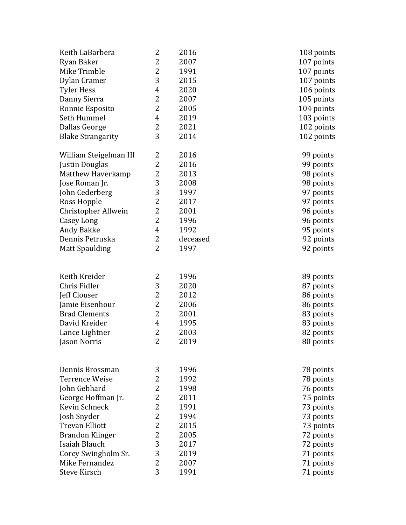| Keith LaBarbera          | 2              | 2016     | 108 points |
|--------------------------|----------------|----------|------------|
| Ryan Baker               | 2              | 2007     | 107 points |
| Mike Trimble             | 2              | 1991     | 107 points |
| Dylan Cramer             | 3              | 2015     | 107 points |
| <b>Tyler Hess</b>        | 4              | 2020     | 106 points |
| Danny Sierra             | 2              | 2007     | 105 points |
| Ronnie Esposito          | 2              | 2005     | 104 points |
| Seth Hummel              | 4              | 2019     | 103 points |
| Dallas George            | 2              | 2021     | 102 points |
| <b>Blake Strangarity</b> | 3              | 2014     | 102 points |
| William Steigelman III   | 2              | 2016     | 99 points  |
| Justin Douglas           | 2              | 2016     | 99 points  |
| Matthew Haverkamp        | 2              | 2013     | 98 points  |
| Jose Roman Jr.           | 3              | 2008     | 98 points  |
| John Cederberg           | 3              | 1997     | 97 points  |
| Ross Hopple              | $\overline{c}$ | 2017     | 97 points  |
| Christopher Allwein      | 2              | 2001     | 96 points  |
| Casey Long               | $\overline{c}$ | 1996     | 96 points  |
| Andy Bakke               | $\overline{4}$ | 1992     | 95 points  |
| Dennis Petruska          | 2              | deceased | 92 points  |
| <b>Matt Spaulding</b>    | 2              | 1997     | 92 points  |
|                          |                |          |            |
| Keith Kreider            | 2              | 1996     | 89 points  |
| Chris Fidler             | 3              | 2020     | 87 points  |
| Jeff Clouser             | 2              | 2012     | 86 points  |
| Jamie Eisenhour          | $\overline{c}$ | 2006     | 86 points  |
| <b>Brad Clements</b>     | 2              | 2001     | 83 points  |
| David Kreider            | 4              | 1995     | 83 points  |
| Lance Lightner           | $\overline{c}$ | 2003     | 82 points  |
| Jason Norris             | $\overline{2}$ | 2019     | 80 points  |
|                          |                |          |            |
| Dennis Brossman          | 3              | 1996     | 78 points  |
| Terrence Weise           | 2              | 1992     | 78 points  |
| John Gebhard             | 2              | 1998     | 76 points  |
| George Hoffman Jr.       | 2              | 2011     | 75 points  |
| Kevin Schneck            | 2              | 1991     | 73 points  |
| Josh Snyder              | 2              | 1994     | 73 points  |
| <b>Trevan Elliott</b>    | 2              | 2015     | 73 points  |
| Brandon Klinger          | 2              | 2005     | 72 points  |
| Isaiah Blauch            | 3              | 2017     | 72 points  |
| Corey Swingholm Sr.      | 3              | 2019     | 71 points  |
| Mike Fernandez           | 2              | 2007     | 71 points  |
| <b>Steve Kirsch</b>      | 3              | 1991     | 71 points  |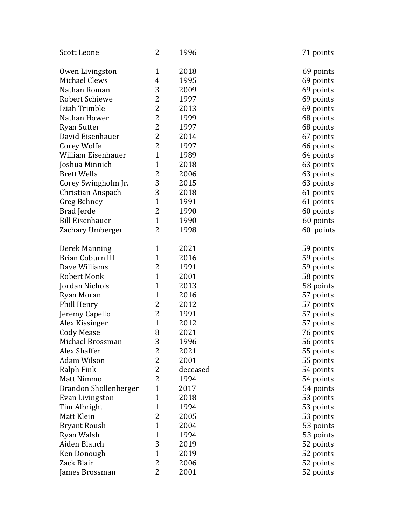| Scott Leone                  | 2              | 1996     | 71 points |
|------------------------------|----------------|----------|-----------|
| Owen Livingston              | $\mathbf{1}$   | 2018     | 69 points |
| Michael Clews                | $\overline{4}$ | 1995     | 69 points |
| Nathan Roman                 | 3              | 2009     | 69 points |
| <b>Robert Schiewe</b>        | $\overline{2}$ | 1997     | 69 points |
| Iziah Trimble                | 2              | 2013     | 69 points |
| Nathan Hower                 | 2              | 1999     | 68 points |
| <b>Ryan Sutter</b>           | $\overline{2}$ | 1997     | 68 points |
| David Eisenhauer             | 2              | 2014     | 67 points |
| Corey Wolfe                  | $\overline{2}$ | 1997     | 66 points |
| William Eisenhauer           | $\mathbf{1}$   | 1989     | 64 points |
| Joshua Minnich               | $\mathbf{1}$   | 2018     | 63 points |
| <b>Brett Wells</b>           | $\overline{2}$ | 2006     | 63 points |
| Corey Swingholm Jr.          | 3              | 2015     | 63 points |
| Christian Anspach            | 3              | 2018     | 61 points |
| Greg Behney                  | $\mathbf{1}$   | 1991     | 61 points |
| Brad Jerde                   | 2              | 1990     | 60 points |
| <b>Bill Eisenhauer</b>       | $\mathbf{1}$   | 1990     | 60 points |
| Zachary Umberger             | $\overline{2}$ | 1998     | 60 points |
| Derek Manning                | $\mathbf{1}$   | 2021     | 59 points |
| Brian Coburn III             | $\mathbf{1}$   | 2016     | 59 points |
| Dave Williams                | 2              | 1991     | 59 points |
| <b>Robert Monk</b>           | $\mathbf{1}$   | 2001     | 58 points |
| Jordan Nichols               | $\mathbf{1}$   | 2013     | 58 points |
| Ryan Moran                   | $\mathbf{1}$   | 2016     | 57 points |
| Phill Henry                  | 2              | 2012     | 57 points |
| Jeremy Capello               | 2              | 1991     | 57 points |
| Alex Kissinger               | $\mathbf{1}$   | 2012     | 57 points |
| <b>Cody Mease</b>            | 8              | 2021     | 76 points |
| Michael Brossman             | 3              | 1996     | 56 points |
| Alex Shaffer                 | 2              | 2021     | 55 points |
| Adam Wilson                  | 2              | 2001     | 55 points |
| Ralph Fink                   | 2              | deceased | 54 points |
| Matt Nimmo                   | 2              | 1994     | 54 points |
| <b>Brandon Shollenberger</b> | $\mathbf{1}$   | 2017     | 54 points |
| Evan Livingston              | $\mathbf{1}$   | 2018     | 53 points |
| Tim Albright                 | $\mathbf{1}$   | 1994     | 53 points |
| Matt Klein                   | 2              | 2005     | 53 points |
| <b>Bryant Roush</b>          | $\mathbf{1}$   | 2004     | 53 points |
| Ryan Walsh                   | $\mathbf{1}$   | 1994     | 53 points |
| Aiden Blauch                 | 3              | 2019     | 52 points |
| Ken Donough                  | $\mathbf{1}$   | 2019     | 52 points |
| Zack Blair                   | 2              | 2006     | 52 points |
| James Brossman               | 2              | 2001     | 52 points |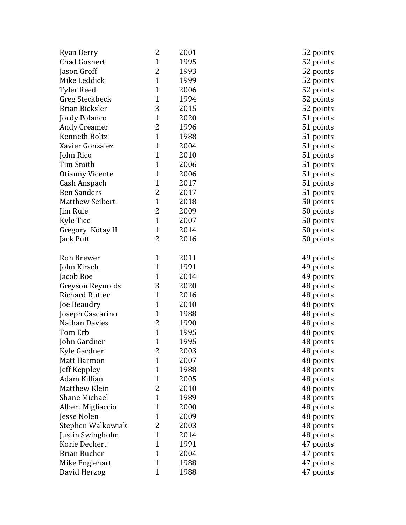| Ryan Berry             | 2            | 2001 | 52 points |  |
|------------------------|--------------|------|-----------|--|
| <b>Chad Goshert</b>    | $\mathbf{1}$ | 1995 | 52 points |  |
| Jason Groff            | 2            | 1993 | 52 points |  |
| Mike Leddick           | $\mathbf{1}$ | 1999 | 52 points |  |
| <b>Tyler Reed</b>      | $\mathbf{1}$ | 2006 | 52 points |  |
| Greg Steckbeck         | $\mathbf{1}$ | 1994 | 52 points |  |
| Brian Bicksler         | 3            | 2015 | 52 points |  |
| Jordy Polanco          | $\mathbf{1}$ | 2020 | 51 points |  |
| Andy Creamer           | 2            | 1996 | 51 points |  |
| Kenneth Boltz          | $\mathbf{1}$ | 1988 | 51 points |  |
| Xavier Gonzalez        | $\mathbf{1}$ | 2004 | 51 points |  |
| John Rico              | $\mathbf{1}$ | 2010 | 51 points |  |
| Tim Smith              | $\mathbf{1}$ | 2006 | 51 points |  |
| <b>Otianny Vicente</b> | $\mathbf{1}$ | 2006 | 51 points |  |
| Cash Anspach           | $\mathbf{1}$ | 2017 | 51 points |  |
| <b>Ben Sanders</b>     | 2            | 2017 | 51 points |  |
| <b>Matthew Seibert</b> | $\mathbf{1}$ | 2018 | 50 points |  |
| Jim Rule               | 2            | 2009 | 50 points |  |
| <b>Kyle Tice</b>       | $\mathbf{1}$ | 2007 | 50 points |  |
| Gregory Kotay II       | $\mathbf{1}$ | 2014 | 50 points |  |
| Jack Putt              | 2            | 2016 | 50 points |  |
| Ron Brewer             | $\mathbf{1}$ | 2011 | 49 points |  |
| John Kirsch            | $\mathbf{1}$ | 1991 | 49 points |  |
| Jacob Roe              | $\mathbf{1}$ | 2014 | 49 points |  |
| Greyson Reynolds       | 3            | 2020 | 48 points |  |
| <b>Richard Rutter</b>  | $\mathbf{1}$ | 2016 | 48 points |  |
| Joe Beaudry            | $\mathbf{1}$ | 2010 | 48 points |  |
| Joseph Cascarino       | $\mathbf{1}$ | 1988 | 48 points |  |
| <b>Nathan Davies</b>   | 2            | 1990 | 48 points |  |
| Tom Erb                | $\mathbf{1}$ | 1995 | 48 points |  |
| John Gardner           | $\mathbf{1}$ | 1995 | 48 points |  |
| Kyle Gardner           | 2            | 2003 | 48 points |  |
| <b>Matt Harmon</b>     | $\mathbf{1}$ | 2007 | 48 points |  |
| Jeff Keppley           | 1            | 1988 | 48 points |  |
| Adam Killian           | $\mathbf{1}$ | 2005 | 48 points |  |
| Matthew Klein          | 2            | 2010 | 48 points |  |
| <b>Shane Michael</b>   | $\mathbf{1}$ | 1989 | 48 points |  |
| Albert Migliaccio      | $\mathbf{1}$ | 2000 | 48 points |  |
| Jesse Nolen            | $\mathbf{1}$ | 2009 | 48 points |  |
| Stephen Walkowiak      | 2            | 2003 | 48 points |  |
| Justin Swingholm       | $\mathbf{1}$ | 2014 | 48 points |  |
| Korie Dechert          | $\mathbf{1}$ | 1991 | 47 points |  |
| <b>Brian Bucher</b>    | $\mathbf{1}$ | 2004 | 47 points |  |
| Mike Englehart         | $\mathbf{1}$ | 1988 | 47 points |  |
| David Herzog           | $\mathbf{1}$ | 1988 | 47 points |  |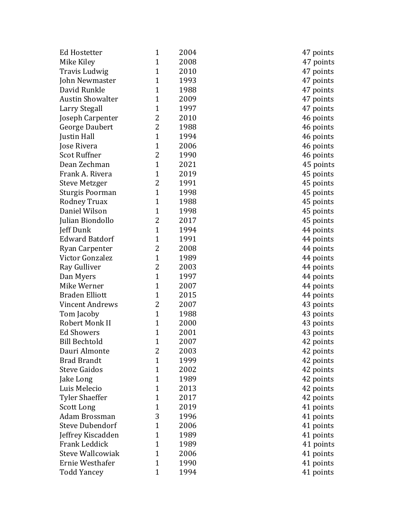| Ed Hostetter            | $\mathbf{1}$ | 2004 | 47 points |
|-------------------------|--------------|------|-----------|
| Mike Kiley              | $\mathbf{1}$ | 2008 | 47 points |
| Travis Ludwig           | $\mathbf{1}$ | 2010 | 47 points |
| John Newmaster          | $\mathbf{1}$ | 1993 | 47 points |
| David Runkle            | $\mathbf{1}$ | 1988 | 47 points |
| <b>Austin Showalter</b> | $\mathbf{1}$ | 2009 | 47 points |
| <b>Larry Stegall</b>    | $\mathbf{1}$ | 1997 | 47 points |
| Joseph Carpenter        | 2            | 2010 | 46 points |
| <b>George Daubert</b>   | 2            | 1988 | 46 points |
| Justin Hall             | $\mathbf{1}$ | 1994 | 46 points |
| Jose Rivera             | $\mathbf{1}$ | 2006 | 46 points |
| <b>Scot Ruffner</b>     | 2            | 1990 | 46 points |
| Dean Zechman            | $\mathbf{1}$ | 2021 | 45 points |
| Frank A. Rivera         | $\mathbf{1}$ | 2019 | 45 points |
| <b>Steve Metzger</b>    | 2            | 1991 | 45 points |
| Sturgis Poorman         | $\mathbf{1}$ | 1998 | 45 points |
| Rodney Truax            | $\mathbf{1}$ | 1988 | 45 points |
| Daniel Wilson           | $\mathbf{1}$ | 1998 | 45 points |
| Julian Biondollo        | 2            | 2017 | 45 points |
| Jeff Dunk               | $\mathbf{1}$ | 1994 | 44 points |
| <b>Edward Batdorf</b>   | $\mathbf{1}$ | 1991 | 44 points |
| Ryan Carpenter          | 2            | 2008 | 44 points |
| Victor Gonzalez         | $\mathbf{1}$ | 1989 | 44 points |
| Ray Gulliver            | 2            | 2003 | 44 points |
| Dan Myers               | $\mathbf{1}$ | 1997 | 44 points |
| Mike Werner             | $\mathbf{1}$ | 2007 | 44 points |
| <b>Braden Elliott</b>   | $\mathbf{1}$ | 2015 | 44 points |
| <b>Vincent Andrews</b>  | 2            | 2007 | 43 points |
| Tom Jacoby              | $\mathbf{1}$ | 1988 | 43 points |
| Robert Monk II          | $\mathbf{1}$ | 2000 | 43 points |
| <b>Ed Showers</b>       | $\mathbf{1}$ | 2001 | 43 points |
| <b>Bill Bechtold</b>    | $\mathbf{1}$ | 2007 | 42 points |
| Dauri Almonte           | 2            | 2003 | 42 points |
| <b>Brad Brandt</b>      | $\mathbf{1}$ | 1999 | 42 points |
| <b>Steve Gaidos</b>     | $\mathbf{1}$ | 2002 | 42 points |
| Jake Long               | $\mathbf{1}$ | 1989 | 42 points |
| Luis Melecio            | $\mathbf{1}$ | 2013 | 42 points |
| <b>Tyler Shaeffer</b>   | $\mathbf{1}$ | 2017 | 42 points |
| <b>Scott Long</b>       | $\mathbf{1}$ | 2019 | 41 points |
| Adam Brossman           | 3            | 1996 | 41 points |
| <b>Steve Dubendorf</b>  | $\mathbf{1}$ | 2006 | 41 points |
| Jeffrey Kiscadden       | $\mathbf{1}$ | 1989 | 41 points |
| Frank Leddick           | $\mathbf{1}$ | 1989 | 41 points |
| <b>Steve Wallcowiak</b> | $\mathbf{1}$ | 2006 | 41 points |
| Ernie Westhafer         | $\mathbf{1}$ | 1990 | 41 points |
| <b>Todd Yancey</b>      | $\mathbf{1}$ | 1994 | 41 points |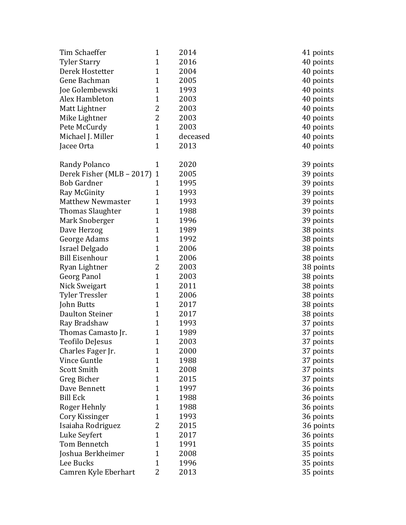| Tim Schaeffer             | $\mathbf{1}$   | 2014     | 41 points |
|---------------------------|----------------|----------|-----------|
| <b>Tyler Starry</b>       | $\mathbf{1}$   | 2016     | 40 points |
| Derek Hostetter           | $\mathbf{1}$   | 2004     | 40 points |
| Gene Bachman              | $\mathbf{1}$   | 2005     | 40 points |
| Joe Golembewski           | $\mathbf 1$    | 1993     | 40 points |
| Alex Hambleton            | $\mathbf{1}$   | 2003     | 40 points |
| Matt Lightner             | 2              | 2003     | 40 points |
| Mike Lightner             | $\overline{2}$ | 2003     | 40 points |
| Pete McCurdy              | $\mathbf{1}$   | 2003     | 40 points |
| Michael J. Miller         | $\mathbf{1}$   | deceased | 40 points |
| Jacee Orta                | $\mathbf{1}$   | 2013     | 40 points |
| Randy Polanco             | $\mathbf{1}$   | 2020     | 39 points |
| Derek Fisher (MLB - 2017) | $\mathbf{1}$   | 2005     | 39 points |
| <b>Bob Gardner</b>        | 1              | 1995     | 39 points |
| Ray McGinity              | $\mathbf{1}$   | 1993     | 39 points |
| <b>Matthew Newmaster</b>  | $\mathbf{1}$   | 1993     | 39 points |
| <b>Thomas Slaughter</b>   | $\mathbf{1}$   | 1988     | 39 points |
| Mark Snoberger            | $\mathbf{1}$   | 1996     | 39 points |
| Dave Herzog               | $\mathbf{1}$   | 1989     | 38 points |
| George Adams              | $\mathbf{1}$   | 1992     | 38 points |
| <b>Israel Delgado</b>     | $\mathbf{1}$   | 2006     | 38 points |
| <b>Bill Eisenhour</b>     | $\mathbf{1}$   | 2006     | 38 points |
| Ryan Lightner             | 2              | 2003     | 38 points |
| <b>Georg Panol</b>        | $\mathbf{1}$   | 2003     | 38 points |
| Nick Sweigart             | $\mathbf{1}$   | 2011     | 38 points |
| <b>Tyler Tressler</b>     | $\mathbf{1}$   | 2006     | 38 points |
| John Butts                | $\mathbf{1}$   | 2017     | 38 points |
| Daulton Steiner           | $\mathbf{1}$   | 2017     | 38 points |
| Ray Bradshaw              | $\mathbf{1}$   | 1993     | 37 points |
| Thomas Camasto Jr.        | $\mathbf{1}$   | 1989     | 37 points |
| Teofilo DeJesus           | $\mathbf{1}$   | 2003     | 37 points |
| Charles Fager Jr.         | 1              | 2000     | 37 points |
| Vince Guntle              | 1              | 1988     | 37 points |
| <b>Scott Smith</b>        | 1              | 2008     | 37 points |
| Greg Bicher               | 1              | 2015     | 37 points |
| Dave Bennett              | 1              | 1997     | 36 points |
| <b>Bill Eck</b>           | 1              | 1988     | 36 points |
| Roger Hehnly              | 1              | 1988     | 36 points |
| Cory Kissinger            | 1              | 1993     | 36 points |
| Isaiaha Rodriguez         | 2              | 2015     | 36 points |
| Luke Seyfert              | $\mathbf{1}$   | 2017     | 36 points |
| Tom Bennetch              | 1              | 1991     | 35 points |
| Joshua Berkheimer         | 1              | 2008     | 35 points |
| Lee Bucks                 | 1              | 1996     | 35 points |
| Camren Kyle Eberhart      | 2              | 2013     | 35 points |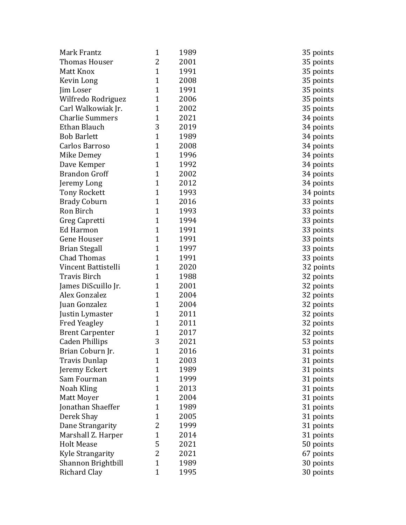| Mark Frantz             | 1              | 1989 |
|-------------------------|----------------|------|
| <b>Thomas Houser</b>    | 2              | 2001 |
| Matt Knox               | $\mathbf{1}$   | 1991 |
| Kevin Long              | $\mathbf{1}$   | 2008 |
| Jim Loser               | $\mathbf{1}$   | 1991 |
| Wilfredo Rodriguez      | 1              | 2006 |
| Carl Walkowiak Jr.      | 1              | 2002 |
| <b>Charlie Summers</b>  | $\mathbf{1}$   | 2021 |
| Ethan Blauch            | 3              | 2019 |
| <b>Bob Barlett</b>      | $\mathbf{1}$   | 1989 |
| Carlos Barroso          | $\mathbf{1}$   | 2008 |
| Mike Demey              | $\mathbf 1$    | 1996 |
| Dave Kemper             | $\mathbf{1}$   | 1992 |
| <b>Brandon Groff</b>    | $\mathbf{1}$   | 2002 |
| Jeremy Long             | $\mathbf{1}$   | 2012 |
| <b>Tony Rockett</b>     | $\mathbf{1}$   | 1993 |
| <b>Brady Coburn</b>     | $\mathbf{1}$   | 2016 |
| Ron Birch               | $\mathbf{1}$   | 1993 |
| Greg Capretti           | $\mathbf{1}$   | 1994 |
| Ed Harmon               | $\mathbf{1}$   | 1991 |
| <b>Gene Houser</b>      | $\mathbf{1}$   | 1991 |
| <b>Brian Stegall</b>    | $\mathbf{1}$   | 1997 |
| <b>Chad Thomas</b>      | $\mathbf{1}$   | 1991 |
| Vincent Battistelli     | 1              | 2020 |
| <b>Travis Birch</b>     | $\mathbf{1}$   | 1988 |
| James DiScuillo Jr.     | $\mathbf{1}$   | 2001 |
| Alex Gonzalez           | $\mathbf{1}$   | 2004 |
| Juan Gonzalez           | $\mathbf{1}$   | 2004 |
| Justin Lymaster         | $\mathbf{1}$   | 2011 |
| <b>Fred Yeagley</b>     | $\mathbf{1}$   | 2011 |
| <b>Brent Carpenter</b>  | 1              | 2017 |
| <b>Caden Phillips</b>   | 3              | 2021 |
| Brian Coburn Jr.        | 1              | 2016 |
| <b>Travis Dunlap</b>    | 1              | 2003 |
| Jeremy Eckert           | 1              | 1989 |
| Sam Fourman             | 1              | 1999 |
| Noah Kling              | 1              | 2013 |
| Matt Moyer              | 1              | 2004 |
| Jonathan Shaeffer       | 1              | 1989 |
| Derek Shay              | 1              | 2005 |
| Dane Strangarity        | 2              | 1999 |
| Marshall Z. Harper      | $\mathbf{1}$   | 2014 |
| <b>Holt Mease</b>       | 5              | 2021 |
| <b>Kyle Strangarity</b> | $\overline{c}$ | 2021 |
| Shannon Brightbill      | 1              | 1989 |
| <b>Richard Clay</b>     | $\mathbf{1}$   | 1995 |

35 points 35 points 35 points 35 points 35 points 35 points 35 points 34 points 34 points 34 points 34 points 34 points 34 points 34 points 34 points 34 points 33 points 33 points 33 points 33 points 33 points 33 points 33 points 32 points 32 points 32 points 32 points 32 points 32 points 32 points 32 points 53 points 31 points 31 points 31 points 31 points 31 points 31 points 31 points 31 points 31 points 31 points 50 points 67 points 30 points 30 points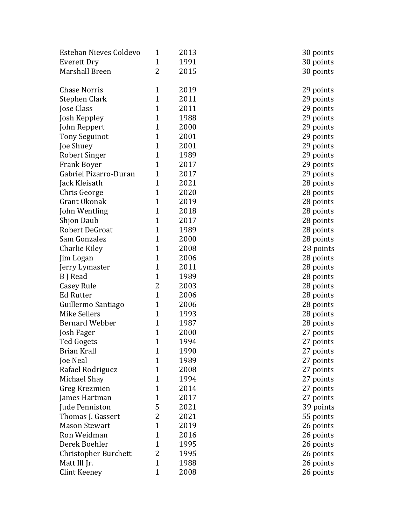| Esteban Nieves Coldevo      | 1            | 2013 | 30 points |
|-----------------------------|--------------|------|-----------|
| Everett Dry                 | $\mathbf{1}$ | 1991 | 30 points |
| Marshall Breen              | 2            | 2015 | 30 points |
|                             |              |      |           |
| <b>Chase Norris</b>         | $\mathbf{1}$ | 2019 | 29 points |
| Stephen Clark               | $\mathbf{1}$ | 2011 | 29 points |
| Jose Class                  | $\mathbf{1}$ | 2011 | 29 points |
| Josh Keppley                | $\mathbf{1}$ | 1988 | 29 points |
| John Reppert                | $\mathbf{1}$ | 2000 | 29 points |
| <b>Tony Seguinot</b>        | $\mathbf{1}$ | 2001 | 29 points |
| Joe Shuey                   | $\mathbf{1}$ | 2001 | 29 points |
| Robert Singer               | $\mathbf{1}$ | 1989 | 29 points |
| <b>Frank Boyer</b>          | $\mathbf{1}$ | 2017 | 29 points |
| Gabriel Pizarro-Duran       | $\mathbf{1}$ | 2017 | 29 points |
| Jack Kleisath               | $\mathbf{1}$ | 2021 | 28 points |
| Chris George                | $\mathbf{1}$ | 2020 | 28 points |
| Grant Okonak                | $\mathbf{1}$ | 2019 | 28 points |
| John Wentling               | $\mathbf{1}$ | 2018 | 28 points |
| <b>Shjon Daub</b>           | $\mathbf{1}$ | 2017 | 28 points |
| Robert DeGroat              | $\mathbf{1}$ | 1989 | 28 points |
| Sam Gonzalez                | $\mathbf{1}$ | 2000 | 28 points |
| Charlie Kiley               | $\mathbf{1}$ | 2008 | 28 points |
| Jim Logan                   | $\mathbf{1}$ | 2006 | 28 points |
| Jerry Lymaster              | $\mathbf{1}$ | 2011 | 28 points |
| B J Read                    | $\mathbf{1}$ | 1989 | 28 points |
| Casey Rule                  | 2            | 2003 | 28 points |
| <b>Ed Rutter</b>            | $\mathbf{1}$ | 2006 | 28 points |
| Guillermo Santiago          | $\mathbf{1}$ | 2006 | 28 points |
| <b>Mike Sellers</b>         | $\mathbf{1}$ | 1993 | 28 points |
| <b>Bernard Webber</b>       | $\mathbf{1}$ | 1987 | 28 points |
| Josh Fager                  | $\mathbf{1}$ | 2000 | 27 points |
| Ted Gogets                  | $\mathbf{1}$ | 1994 | 27 points |
| Brian Krall                 | 1            | 1990 | 27 points |
| Joe Neal                    | $\mathbf{1}$ | 1989 | 27 points |
| Rafael Rodriguez            | 1            | 2008 | 27 points |
| Michael Shay                | 1            | 1994 | 27 points |
| Greg Krezmien               | 1            | 2014 | 27 points |
| James Hartman               | 1            | 2017 | 27 points |
| Jude Penniston              | 5            | 2021 | 39 points |
| Thomas J. Gassert           | 2            | 2021 | 55 points |
| <b>Mason Stewart</b>        | $\mathbf{1}$ | 2019 | 26 points |
| Ron Weidman                 | $\mathbf{1}$ | 2016 | 26 points |
| Derek Boehler               | 1            | 1995 | 26 points |
| <b>Christopher Burchett</b> | 2            | 1995 | 26 points |
| Matt Ill Jr.                | $\mathbf{1}$ | 1988 | 26 points |
| Clint Keeney                | $\mathbf{1}$ | 2008 | 26 points |
|                             |              |      |           |

30 points 30 points 29 points 29 points 29 points 29 points 29 points 29 points 29 points 29 points 29 points 29 points 28 points 28 points 28 points 28 points 28 points 28 points 28 points 28 points 28 points 28 points 28 points 28 points 28 points 28 points 28 points 27 points 27 points 27 points 27 points 27 points 27 points 27 points 27 points 39 points 55 points 26 points 26 points 26 points 26 points 26 points 26 points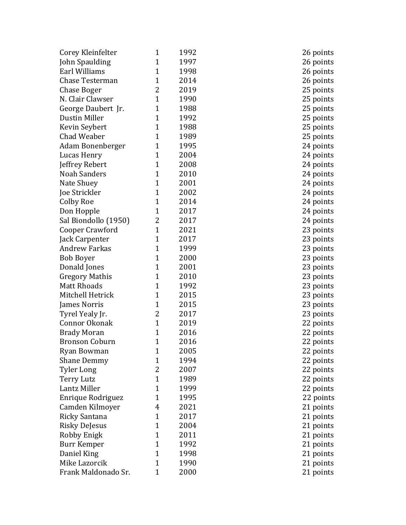| Corey Kleinfelter     | 1              | 1992 |  |
|-----------------------|----------------|------|--|
| John Spaulding        | $\mathbf{1}$   | 1997 |  |
| Earl Williams         | $\mathbf{1}$   | 1998 |  |
| Chase Testerman       | $\mathbf{1}$   | 2014 |  |
| Chase Boger           | $\overline{2}$ | 2019 |  |
| N. Clair Clawser      | $\mathbf{1}$   | 1990 |  |
| George Daubert Jr.    | $\mathbf{1}$   | 1988 |  |
| <b>Dustin Miller</b>  | $\mathbf{1}$   | 1992 |  |
| Kevin Seybert         | $\mathbf{1}$   | 1988 |  |
| <b>Chad Weaber</b>    | $\mathbf{1}$   | 1989 |  |
| Adam Bonenberger      | $\mathbf{1}$   | 1995 |  |
| Lucas Henry           | $\mathbf{1}$   | 2004 |  |
| Jeffrey Rebert        | $\mathbf{1}$   | 2008 |  |
| <b>Noah Sanders</b>   | $\mathbf{1}$   | 2010 |  |
| Nate Shuey            | $\mathbf{1}$   | 2001 |  |
| Joe Strickler         | $\mathbf{1}$   | 2002 |  |
| Colby Roe             | $\mathbf{1}$   | 2014 |  |
| Don Hopple            | $\mathbf{1}$   | 2017 |  |
| Sal Biondollo (1950)  | 2 <sup>1</sup> | 2017 |  |
| Cooper Crawford       | $\mathbf{1}$   | 2021 |  |
| Jack Carpenter        | $\mathbf{1}$   | 2017 |  |
| Andrew Farkas         | $\mathbf{1}$   | 1999 |  |
| Bob Boyer             | $\mathbf{1}$   | 2000 |  |
| Donald Jones          | $\mathbf{1}$   | 2001 |  |
| <b>Gregory Mathis</b> | $\mathbf{1}$   | 2010 |  |
| Matt Rhoads           | $\mathbf{1}$   | 1992 |  |
| Mitchell Hetrick      | $\mathbf{1}$   | 2015 |  |
| James Norris          | $\mathbf{1}$   | 2015 |  |
| Tyrel Yealy Jr.       | $\overline{2}$ | 2017 |  |
| Connor Okonak         | $\mathbf{1}$   | 2019 |  |
| <b>Brady Moran</b>    | $\mathbf 1$    | 2016 |  |
| <b>Bronson Coburn</b> | $\overline{1}$ | 2016 |  |
| Ryan Bowman           | 1              | 2005 |  |
| Shane Demmy           | $\mathbf{1}$   | 1994 |  |
| <b>Tyler Long</b>     | 2              | 2007 |  |
| Terry Lutz            | $\mathbf{1}$   | 1989 |  |
| Lantz Miller          | $\mathbf{1}$   | 1999 |  |
| Enrique Rodriguez     | $\mathbf{1}$   | 1995 |  |
| Camden Kilmoyer       | 4              | 2021 |  |
| Ricky Santana         | $\mathbf{1}$   | 2017 |  |
| Risky DeJesus         | $\mathbf{1}$   | 2004 |  |
| Robby Enigk           | $\mathbf{1}$   | 2011 |  |
| Burr Kemper           | $\mathbf{1}$   | 1992 |  |
| Daniel King           | $\mathbf{1}$   | 1998 |  |
| Mike Lazorcik         | $\mathbf{1}$   | 1990 |  |
| Frank Maldonado Sr.   | $\mathbf{1}$   | 2000 |  |

26 points 26 points 26 points 26 points 25 points 25 points 25 points 25 points 25 points 25 points 24 points 24 points 24 points 24 points 24 points 24 points 24 points 24 points 24 points 23 points 23 points 23 points 23 points 23 points 23 points 23 points 23 points 23 points 23 points 22 points 22 points 22 points 22 points 22 points 22 points 22 points 22 points 22 points 21 points 21 points 21 points 21 points 21 points 21 points 21 points 21 points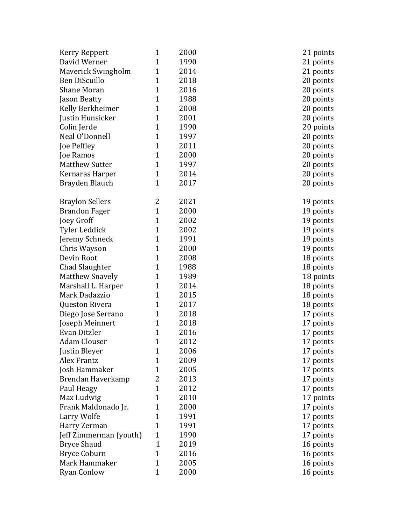| Kerry Reppert          | $\mathbf{1}$ | 2000 | 21 points |
|------------------------|--------------|------|-----------|
| David Werner           | $\mathbf{1}$ | 1990 | 21 points |
| Maverick Swingholm     | $\mathbf{1}$ | 2014 | 21 points |
| Ben DiScuillo          | $\mathbf{1}$ | 2018 | 20 points |
| <b>Shane Moran</b>     | $\mathbf{1}$ | 2016 | 20 points |
| Jason Beatty           | 1            | 1988 | 20 points |
| Kelly Berkheimer       | 1            | 2008 | 20 points |
| Justin Hunsicker       | $\mathbf{1}$ | 2001 | 20 points |
| Colin Jerde            | $\mathbf{1}$ | 1990 | 20 points |
| Neal O'Donnell         | $\mathbf{1}$ | 1997 | 20 points |
| Joe Peffley            | $\mathbf{1}$ | 2011 | 20 points |
| Joe Ramos              | $\mathbf{1}$ | 2000 | 20 points |
| <b>Matthew Sutter</b>  | $\mathbf{1}$ | 1997 | 20 points |
| Kernaras Harper        | $\mathbf{1}$ | 2014 | 20 points |
| Brayden Blauch         | $\mathbf{1}$ | 2017 | 20 points |
|                        |              |      |           |
| <b>Braylon Sellers</b> | 2            | 2021 | 19 points |
| <b>Brandon Fager</b>   | $\mathbf{1}$ | 2000 | 19 points |
| Joey Groff             | $\mathbf{1}$ | 2002 | 19 points |
| Tyler Leddick          | $\mathbf{1}$ | 2002 | 19 points |
| Jeremy Schneck         | $\mathbf{1}$ | 1991 | 19 points |
| Chris Wayson           | $\mathbf{1}$ | 2000 | 19 points |
| Devin Root             | $\mathbf{1}$ | 2008 | 18 points |
| Chad Slaughter         | $\mathbf{1}$ | 1988 | 18 points |
| <b>Matthew Snavely</b> | $\mathbf{1}$ | 1989 | 18 points |
| Marshall L. Harper     | 1            | 2014 | 18 points |
| Mark Dadazzio          | $\mathbf 1$  | 2015 | 18 points |
| Queston Rivera         | $\mathbf{1}$ | 2017 | 18 points |
| Diego Jose Serrano     | 1            | 2018 | 17 points |
| Joseph Meinnert        | 1            | 2018 | 17 points |
| Evan Ditzler           | $\mathbf{1}$ | 2016 | 17 points |
| <b>Adam Clouser</b>    | $\mathbf 1$  | 2012 | 17 points |
| Justin Bleyer          | 1            | 2006 | 17 points |
| Alex Frantz            | $\mathbf 1$  | 2009 | 17 points |
| Josh Hammaker          | 1            | 2005 | 17 points |
| Brendan Haverkamp      | 2            | 2013 | 17 points |
| Paul Heagy             | $\mathbf{1}$ | 2012 | 17 points |
| Max Ludwig             | 1            | 2010 | 17 points |
| Frank Maldonado Jr.    | 1            | 2000 | 17 points |
| Larry Wolfe            | $\mathbf 1$  | 1991 | 17 points |
| Harry Zerman           | $\mathbf{1}$ | 1991 | 17 points |
| Jeff Zimmerman (youth) | $\mathbf{1}$ | 1990 | 17 points |
| <b>Bryce Shaud</b>     | $\mathbf{1}$ | 2019 | 16 points |
| <b>Bryce Coburn</b>    | $\mathbf{1}$ | 2016 | 16 points |
| Mark Hammaker          | 1            | 2005 | 16 points |
| <b>Ryan Conlow</b>     | $\mathbf{1}$ | 2000 | 16 points |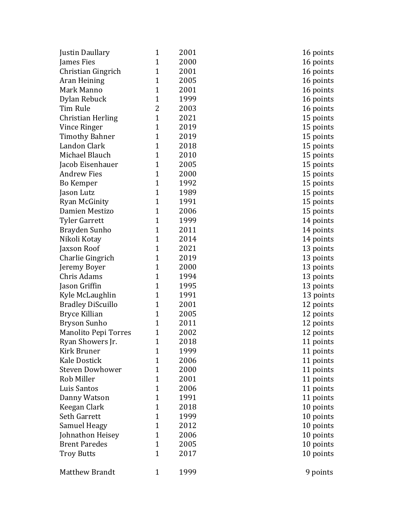| Justin Daullary             | 1              | 2001 | 16 points |
|-----------------------------|----------------|------|-----------|
| James Fies                  | $\mathbf{1}$   | 2000 | 16 points |
| Christian Gingrich          | 1              | 2001 | 16 points |
| Aran Heining                | 1              | 2005 | 16 points |
| Mark Manno                  | $\mathbf{1}$   | 2001 | 16 points |
| Dylan Rebuck                | $\mathbf{1}$   | 1999 | 16 points |
| Tim Rule                    | 2              | 2003 | 16 points |
| Christian Herling           | $\mathbf{1}$   | 2021 | 15 points |
| Vince Ringer                | $\mathbf{1}$   | 2019 | 15 points |
| <b>Timothy Bahner</b>       | $\mathbf 1$    | 2019 | 15 points |
| Landon Clark                | $\overline{1}$ | 2018 | 15 points |
| Michael Blauch              | 1              | 2010 | 15 points |
| Jacob Eisenhauer            | 1              | 2005 | 15 points |
| <b>Andrew Fies</b>          | $\overline{1}$ | 2000 | 15 points |
| Bo Kemper                   | $\mathbf{1}$   | 1992 | 15 points |
| Jason Lutz                  | $\mathbf{1}$   | 1989 | 15 points |
| Ryan McGinity               | $\overline{1}$ | 1991 | 15 points |
| Damien Mestizo              | $\mathbf{1}$   | 2006 | 15 points |
| <b>Tyler Garrett</b>        | $\mathbf{1}$   | 1999 | 14 points |
| Brayden Sunho               | $\mathbf{1}$   | 2011 | 14 points |
| Nikoli Kotay                | $\mathbf{1}$   | 2014 | 14 points |
| Jaxson Roof                 | $\mathbf{1}$   | 2021 | 13 points |
| Charlie Gingrich            | 1              | 2019 | 13 points |
| Jeremy Boyer                | 1              | 2000 | 13 points |
| Chris Adams                 | $\mathbf{1}$   | 1994 | 13 points |
| Jason Griffin               | 1              | 1995 | 13 points |
| Kyle McLaughlin             | $\mathbf 1$    | 1991 | 13 points |
| <b>Bradley DiScuillo</b>    | $\mathbf{1}$   | 2001 | 12 points |
| Bryce Killian               | 1              | 2005 | 12 points |
| Bryson Sunho                | 1              | 2011 | 12 points |
| <b>Manolito Pepi Torres</b> | $\mathbf{1}$   | 2002 | 12 points |
| Ryan Showers Jr.            | $\overline{1}$ | 2018 | 11 points |
| Kirk Bruner                 | $\mathbf{1}$   | 1999 | 11 points |
| <b>Kale Dostick</b>         | $\mathbf{1}$   | 2006 | 11 points |
| <b>Steven Dowhower</b>      | 1              | 2000 | 11 points |
| Rob Miller                  | 1              | 2001 | 11 points |
| Luis Santos                 | $\mathbf 1$    | 2006 | 11 points |
| Danny Watson                | $\mathbf{1}$   | 1991 | 11 points |
| Keegan Clark                | 1              | 2018 | 10 points |
| Seth Garrett                | $\mathbf{1}$   | 1999 | 10 points |
| Samuel Heagy                | $\mathbf{1}$   | 2012 | 10 points |
| Johnathon Heisey            | 1              | 2006 | 10 points |
| <b>Brent Paredes</b>        | $\mathbf{1}$   | 2005 | 10 points |
| <b>Troy Butts</b>           | 1              | 2017 | 10 points |
|                             |                |      |           |
| Matthew Brandt              | $\mathbf{1}$   | 1999 | 9 points  |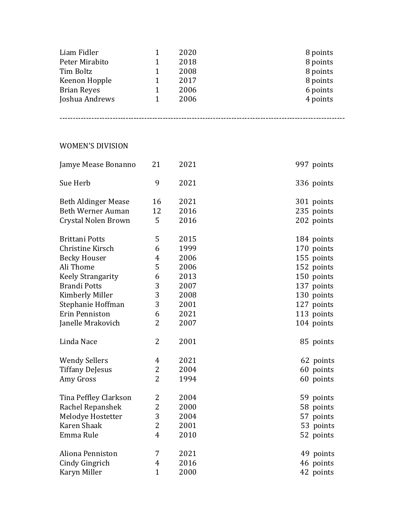| Liam Fidler        | 2020 | 8 points |
|--------------------|------|----------|
| Peter Mirabito     | 2018 | 8 points |
| Tim Boltz          | 2008 | 8 points |
| Keenon Hopple      | 2017 | 8 points |
| <b>Brian Reyes</b> | 2006 | 6 points |
| Joshua Andrews     | 2006 | 4 points |
|                    |      |          |

------------------------------------------------------------------------------------------------------------

## WOMEN'S DIVISION

| Jamye Mease Bonanno        | 21             | 2021 | 997 points |
|----------------------------|----------------|------|------------|
| Sue Herb                   | 9              | 2021 | 336 points |
| <b>Beth Aldinger Mease</b> | 16             | 2021 | 301 points |
| <b>Beth Werner Auman</b>   | 12             | 2016 | 235 points |
| Crystal Nolen Brown        | 5              | 2016 | 202 points |
| <b>Brittani Potts</b>      | 5              | 2015 | 184 points |
| Christine Kirsch           | 6              | 1999 | 170 points |
| <b>Becky Houser</b>        | $\overline{4}$ | 2006 | 155 points |
| Ali Thome                  | 5              | 2006 | 152 points |
| <b>Keely Strangarity</b>   | 6              | 2013 | 150 points |
| <b>Brandi Potts</b>        | 3              | 2007 | 137 points |
| Kimberly Miller            | 3              | 2008 | 130 points |
| Stephanie Hoffman          | 3              | 2001 | 127 points |
| Erin Penniston             | 6              | 2021 | 113 points |
| Janelle Mrakovich          | 2              | 2007 | 104 points |
| Linda Nace                 | $\overline{2}$ | 2001 | 85 points  |
| <b>Wendy Sellers</b>       | $\overline{4}$ | 2021 | 62 points  |
| <b>Tiffany DeJesus</b>     | 2              | 2004 | 60 points  |
| Amy Gross                  | $\overline{2}$ | 1994 | 60 points  |
| Tina Peffley Clarkson      | 2              | 2004 | 59 points  |
| Rachel Repanshek           | $\overline{2}$ | 2000 | 58 points  |
| Melodye Hostetter          | 3              | 2004 | 57 points  |
| Karen Shaak                | 2              | 2001 | 53 points  |
| Emma Rule                  | $\overline{4}$ | 2010 | 52 points  |
| Aliona Penniston           | 7              | 2021 | 49 points  |
| Cindy Gingrich             | 4              | 2016 | 46 points  |
| Karyn Miller               | $\mathbf{1}$   | 2000 | 42 points  |